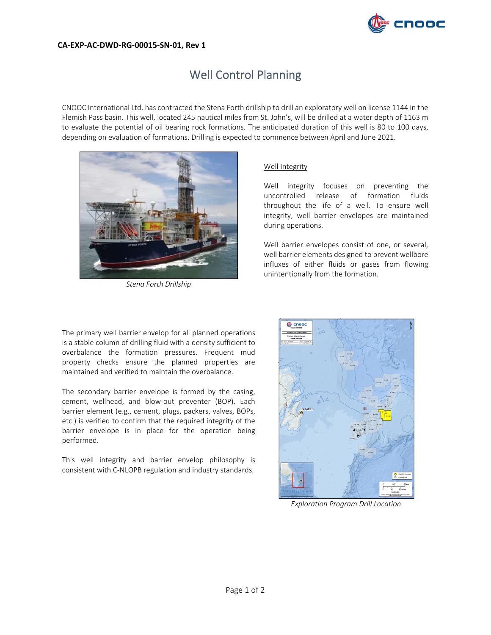

## **CA‐EXP‐AC‐DWD‐RG‐00015‐SN‐01, Rev 1**

# Well Control Planning

CNOOC International Ltd. has contracted the Stena Forth drillship to drill an exploratory well on license 1144 in the Flemish Pass basin. This well, located 245 nautical miles from St. John's, will be drilled at a water depth of 1163 m to evaluate the potential of oil bearing rock formations. The anticipated duration of this well is 80 to 100 days, depending on evaluation of formations. Drilling is expected to commence between April and June 2021.



*Stena Forth Drillship*

## Well Integrity

Well integrity focuses on preventing the uncontrolled release of formation fluids throughout the life of a well. To ensure well integrity, well barrier envelopes are maintained during operations.

Well barrier envelopes consist of one, or several, well barrier elements designed to prevent wellbore influxes of either fluids or gases from flowing unintentionally from the formation.

The primary well barrier envelop for all planned operations is a stable column of drilling fluid with a density sufficient to overbalance the formation pressures. Frequent mud property checks ensure the planned properties are maintained and verified to maintain the overbalance.

The secondary barrier envelope is formed by the casing, cement, wellhead, and blow-out preventer (BOP). Each barrier element (e.g., cement, plugs, packers, valves, BOPs, etc.) is verified to confirm that the required integrity of the barrier envelope is in place for the operation being performed.

This well integrity and barrier envelop philosophy is consistent with C‐NLOPB regulation and industry standards.



*Exploration Program Drill Location*